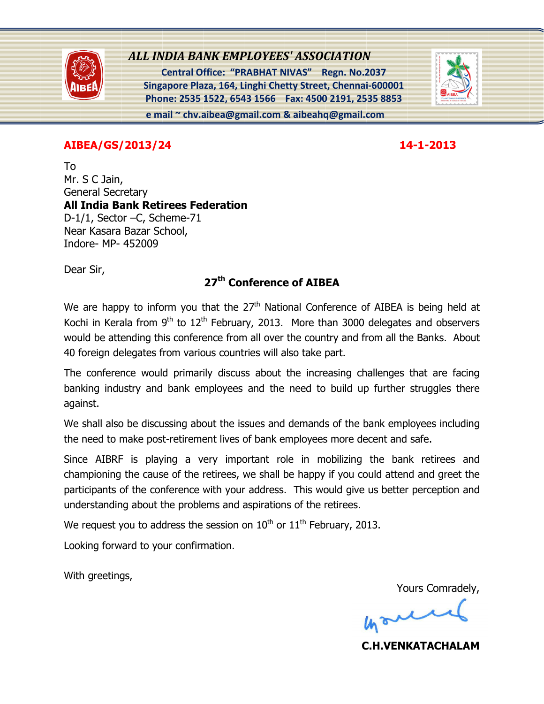

## ALL INDIA BANK EMPLOYEES' ASSOCIATION

Central Office: "PRABHAT NIVAS" Regn. No.2037 Singapore Plaza, 164, Linghi Chetty Street, Chennai-600001 Phone: 2535 1522, 6543 1566 Fax: 4500 2191, 2535 8853

e mail ~ chv.aibea@gmail.com & aibeahq@gmail.com



## AIBEA/GS/2013/24 14-1-2013

To Mr. S C Jain, General Secretary All India Bank Retirees Federation D-1/1, Sector –C, Scheme-71 Near Kasara Bazar School, Indore- MP- 452009

Dear Sir,

## 27<sup>th</sup> Conference of AIBEA

We are happy to inform you that the 27<sup>th</sup> National Conference of AIBEA is being held at Kochi in Kerala from  $9<sup>th</sup>$  to  $12<sup>th</sup>$  February, 2013. More than 3000 delegates and observers would be attending this conference from all over the country and from all the Banks. About 40 foreign delegates from various countries will also take part.

The conference would primarily discuss about the increasing challenges that are facing banking industry and bank employees and the need to build up further struggles there against.

We shall also be discussing about the issues and demands of the bank employees including the need to make post-retirement lives of bank employees more decent and safe.

Since AIBRF is playing a very important role in mobilizing the bank retirees and championing the cause of the retirees, we shall be happy if you could attend and greet the participants of the conference with your address. This would give us better perception and understanding about the problems and aspirations of the retirees.

We request you to address the session on  $10^{th}$  or  $11^{th}$  February, 2013.

Looking forward to your confirmation.

With greetings,

Yours Comradely,

World

C.H.VENKATACHALAM